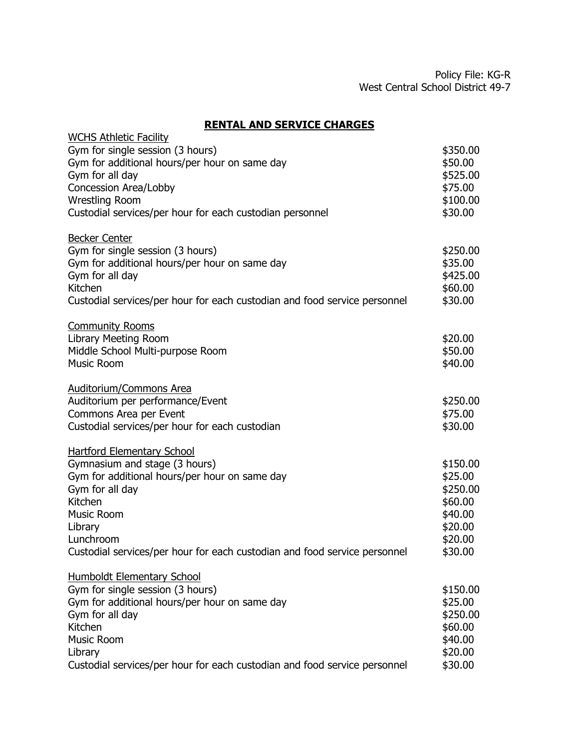## **RENTAL AND SERVICE CHARGES**

| <b>WCHS Athletic Facility</b>                                                                                                                                                                                                                                               |                                                                                        |
|-----------------------------------------------------------------------------------------------------------------------------------------------------------------------------------------------------------------------------------------------------------------------------|----------------------------------------------------------------------------------------|
| Gym for single session (3 hours)<br>Gym for additional hours/per hour on same day<br>Gym for all day<br>Concession Area/Lobby<br><b>Wrestling Room</b><br>Custodial services/per hour for each custodian personnel                                                          | \$350.00<br>\$50.00<br>\$525.00<br>\$75.00<br>\$100.00<br>\$30.00                      |
| <b>Becker Center</b><br>Gym for single session (3 hours)<br>Gym for additional hours/per hour on same day<br>Gym for all day<br>Kitchen<br>Custodial services/per hour for each custodian and food service personnel                                                        | \$250.00<br>\$35.00<br>\$425.00<br>\$60.00<br>\$30.00                                  |
| <b>Community Rooms</b><br>Library Meeting Room<br>Middle School Multi-purpose Room<br><b>Music Room</b>                                                                                                                                                                     | \$20.00<br>\$50.00<br>\$40.00                                                          |
| Auditorium/Commons Area<br>Auditorium per performance/Event<br>Commons Area per Event<br>Custodial services/per hour for each custodian                                                                                                                                     | \$250.00<br>\$75.00<br>\$30.00                                                         |
| <b>Hartford Elementary School</b><br>Gymnasium and stage (3 hours)<br>Gym for additional hours/per hour on same day<br>Gym for all day<br>Kitchen<br><b>Music Room</b><br>Library<br>Lunchroom<br>Custodial services/per hour for each custodian and food service personnel | \$150.00<br>\$25.00<br>\$250.00<br>\$60.00<br>\$40.00<br>\$20.00<br>\$20.00<br>\$30.00 |
| <b>Humboldt Elementary School</b><br>Gym for single session (3 hours)<br>Gym for additional hours/per hour on same day<br>Gym for all day<br>Kitchen<br><b>Music Room</b><br>Library<br>Custodial services/per hour for each custodian and food service personnel           | \$150.00<br>\$25.00<br>\$250.00<br>\$60.00<br>\$40.00<br>\$20.00<br>\$30.00            |